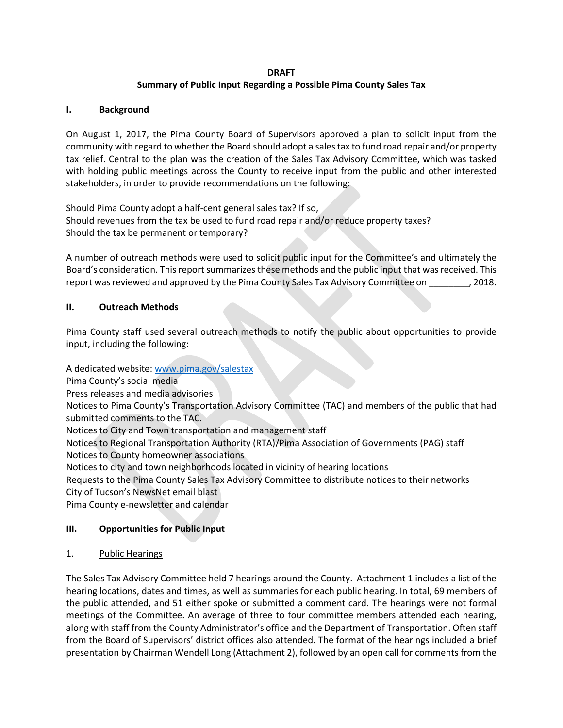## **DRAFT**

## **Summary of Public Input Regarding a Possible Pima County Sales Tax**

#### **I. Background**

On August 1, 2017, the Pima County Board of Supervisors approved a plan to solicit input from the community with regard to whether the Board should adopt a sales tax to fund road repair and/or property tax relief. Central to the plan was the creation of the Sales Tax Advisory Committee, which was tasked with holding public meetings across the County to receive input from the public and other interested stakeholders, in order to provide recommendations on the following:

Should Pima County adopt a half-cent general sales tax? If so, Should revenues from the tax be used to fund road repair and/or reduce property taxes? Should the tax be permanent or temporary?

A number of outreach methods were used to solicit public input for the Committee's and ultimately the Board's consideration. This report summarizes these methods and the public input that was received. This report was reviewed and approved by the Pima County Sales Tax Advisory Committee on \_\_\_\_\_\_\_\_, 2018.

#### **II. Outreach Methods**

Pima County staff used several outreach methods to notify the public about opportunities to provide input, including the following:

A dedicated website: [www.pima.gov/salestax](http://www.pima.gov/salestax)

Pima County's social media

Press releases and media advisories

Notices to Pima County's Transportation Advisory Committee (TAC) and members of the public that had submitted comments to the TAC.

Notices to City and Town transportation and management staff

Notices to Regional Transportation Authority (RTA)/Pima Association of Governments (PAG) staff Notices to County homeowner associations

Notices to city and town neighborhoods located in vicinity of hearing locations

Requests to the Pima County Sales Tax Advisory Committee to distribute notices to their networks City of Tucson's NewsNet email blast

Pima County e-newsletter and calendar

# **III. Opportunities for Public Input**

#### 1. Public Hearings

The Sales Tax Advisory Committee held 7 hearings around the County. Attachment 1 includes a list of the hearing locations, dates and times, as well as summaries for each public hearing. In total, 69 members of the public attended, and 51 either spoke or submitted a comment card. The hearings were not formal meetings of the Committee. An average of three to four committee members attended each hearing, along with staff from the County Administrator's office and the Department of Transportation. Often staff from the Board of Supervisors' district offices also attended. The format of the hearings included a brief presentation by Chairman Wendell Long (Attachment 2), followed by an open call for comments from the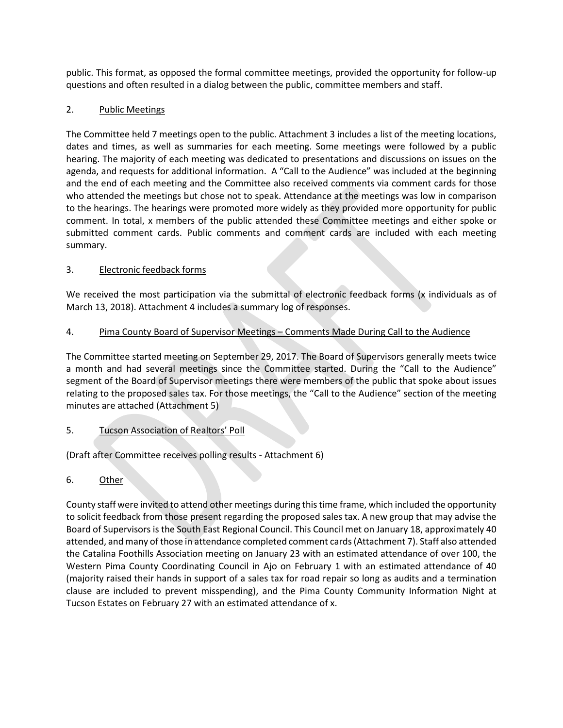public. This format, as opposed the formal committee meetings, provided the opportunity for follow-up questions and often resulted in a dialog between the public, committee members and staff.

# 2. Public Meetings

The Committee held 7 meetings open to the public. Attachment 3 includes a list of the meeting locations, dates and times, as well as summaries for each meeting. Some meetings were followed by a public hearing. The majority of each meeting was dedicated to presentations and discussions on issues on the agenda, and requests for additional information. A "Call to the Audience" was included at the beginning and the end of each meeting and the Committee also received comments via comment cards for those who attended the meetings but chose not to speak. Attendance at the meetings was low in comparison to the hearings. The hearings were promoted more widely as they provided more opportunity for public comment. In total, x members of the public attended these Committee meetings and either spoke or submitted comment cards. Public comments and comment cards are included with each meeting summary.

# 3. Electronic feedback forms

We received the most participation via the submittal of electronic feedback forms (x individuals as of March 13, 2018). Attachment 4 includes a summary log of responses.

# 4. Pima County Board of Supervisor Meetings – Comments Made During Call to the Audience

The Committee started meeting on September 29, 2017. The Board of Supervisors generally meets twice a month and had several meetings since the Committee started. During the "Call to the Audience" segment of the Board of Supervisor meetings there were members of the public that spoke about issues relating to the proposed sales tax. For those meetings, the "Call to the Audience" section of the meeting minutes are attached (Attachment 5)

# 5. Tucson Association of Realtors' Poll

(Draft after Committee receives polling results - Attachment 6)

6. Other

County staff were invited to attend other meetings during this time frame, which included the opportunity to solicit feedback from those present regarding the proposed sales tax. A new group that may advise the Board of Supervisors is the South East Regional Council. This Council met on January 18, approximately 40 attended, and many of those in attendance completed comment cards (Attachment 7). Staff also attended the Catalina Foothills Association meeting on January 23 with an estimated attendance of over 100, the Western Pima County Coordinating Council in Ajo on February 1 with an estimated attendance of 40 (majority raised their hands in support of a sales tax for road repair so long as audits and a termination clause are included to prevent misspending), and the Pima County Community Information Night at Tucson Estates on February 27 with an estimated attendance of x.